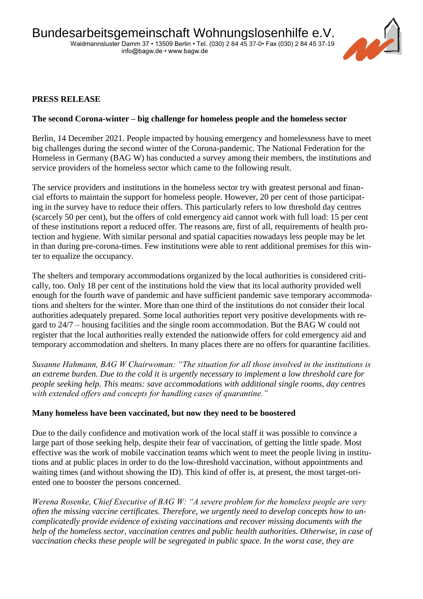

# **PRESS RELEASE**

## **The second Corona-winter – big challenge for homeless people and the homeless sector**

Berlin, 14 December 2021. People impacted by housing emergency and homelessness have to meet big challenges during the second winter of the Corona-pandemic. The National Federation for the Homeless in Germany (BAG W) has conducted a survey among their members, the institutions and service providers of the homeless sector which came to the following result.

The service providers and institutions in the homeless sector try with greatest personal and financial efforts to maintain the support for homeless people. However, 20 per cent of those participating in the survey have to reduce their offers. This particularly refers to low threshold day centres (scarcely 50 per cent), but the offers of cold emergency aid cannot work with full load: 15 per cent of these institutions report a reduced offer. The reasons are, first of all, requirements of health protection and hygiene. With similar personal and spatial capacities nowadays less people may be let in than during pre-corona-times. Few institutions were able to rent additional premises for this winter to equalize the occupancy.

The shelters and temporary accommodations organized by the local authorities is considered critically, too. Only 18 per cent of the institutions hold the view that its local authority provided well enough for the fourth wave of pandemic and have sufficient pandemic save temporary accommodations and shelters for the winter. More than one third of the institutions do not consider their local authorities adequately prepared. Some local authorities report very positive developments with regard to 24/7 – housing facilities and the single room accommodation. But the BAG W could not register that the local authorities really extended the nationwide offers for cold emergency aid and temporary accommodation and shelters. In many places there are no offers for quarantine facilities.

*Susanne Hahmann, BAG W Chairwoman: "The situation for all those involved in the institutions is an extreme burden. Due to the cold it is urgently necessary to implement a low threshold care for people seeking help. This means: save accommodations with additional single rooms, day centres with extended offers and concepts for handling cases of quarantine."*

### **Many homeless have been vaccinated, but now they need to be boostered**

Due to the daily confidence and motivation work of the local staff it was possible to convince a large part of those seeking help, despite their fear of vaccination, of getting the little spade. Most effective was the work of mobile vaccination teams which went to meet the people living in institutions and at public places in order to do the low-threshold vaccination, without appointments and waiting times (and without showing the ID). This kind of offer is, at present, the most target-oriented one to booster the persons concerned.

*Werena Rosenke, Chief Executive of BAG W: "A severe problem for the homeless people are very often the missing vaccine certificates. Therefore, we urgently need to develop concepts how to uncomplicatedly provide evidence of existing vaccinations and recover missing documents with the help of the homeless sector, vaccination centres and public health authorities. Otherwise, in case of vaccination checks these people will be segregated in public space. In the worst case, they are*